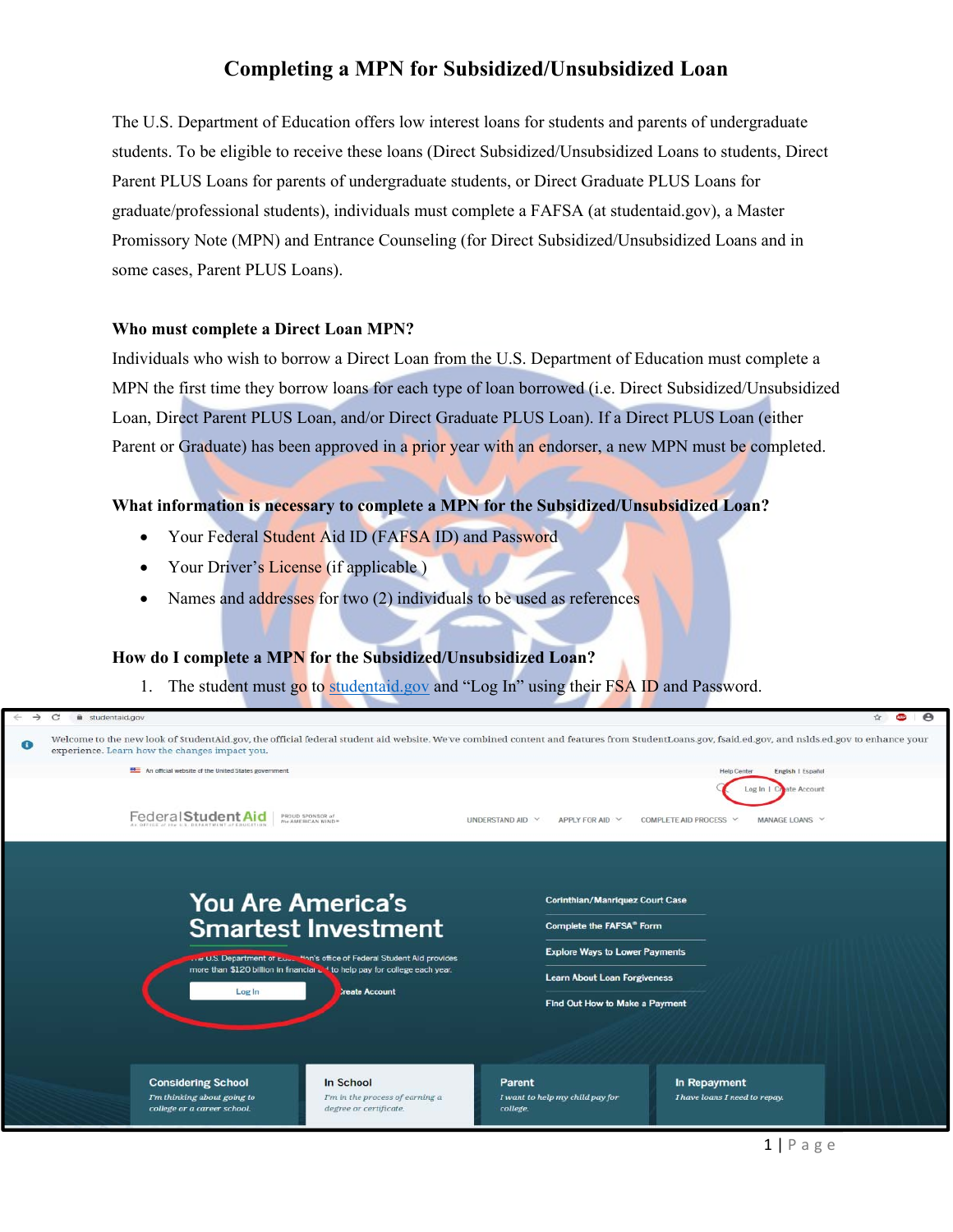The U.S. Department of Education offers low interest loans for students and parents of undergraduate students. To be eligible to receive these loans (Direct Subsidized/Unsubsidized Loans to students, Direct Parent PLUS Loans for parents of undergraduate students, or Direct Graduate PLUS Loans for graduate/professional students), individuals must complete a FAFSA (at studentaid.gov), a Master Promissory Note (MPN) and Entrance Counseling (for Direct Subsidized/Unsubsidized Loans and in some cases, Parent PLUS Loans).

#### **Who must complete a Direct Loan MPN?**

Individuals who wish to borrow a Direct Loan from the U.S. Department of Education must complete a MPN the first time they borrow loans for each type of loan borrowed (i.e. Direct Subsidized/Unsubsidized Loan, Direct Parent PLUS Loan, and/or Direct Graduate PLUS Loan). If a Direct PLUS Loan (either Parent or Graduate) has been approved in a prior year with an endorser, a new MPN must be completed.

#### **What information is necessary to complete a MPN for the Subsidized/Unsubsidized Loan?**

- Your Federal Student Aid ID (FAFSA ID) and Password
- Your Driver's License (if applicable)
- Names and addresses for two  $(2)$  individuals to be used as references

#### **How do I complete a MPN for the Subsidized/Unsubsidized Loan?**

1. The student must go to studentaid.gov and "Log In" using their FSA ID and Password.

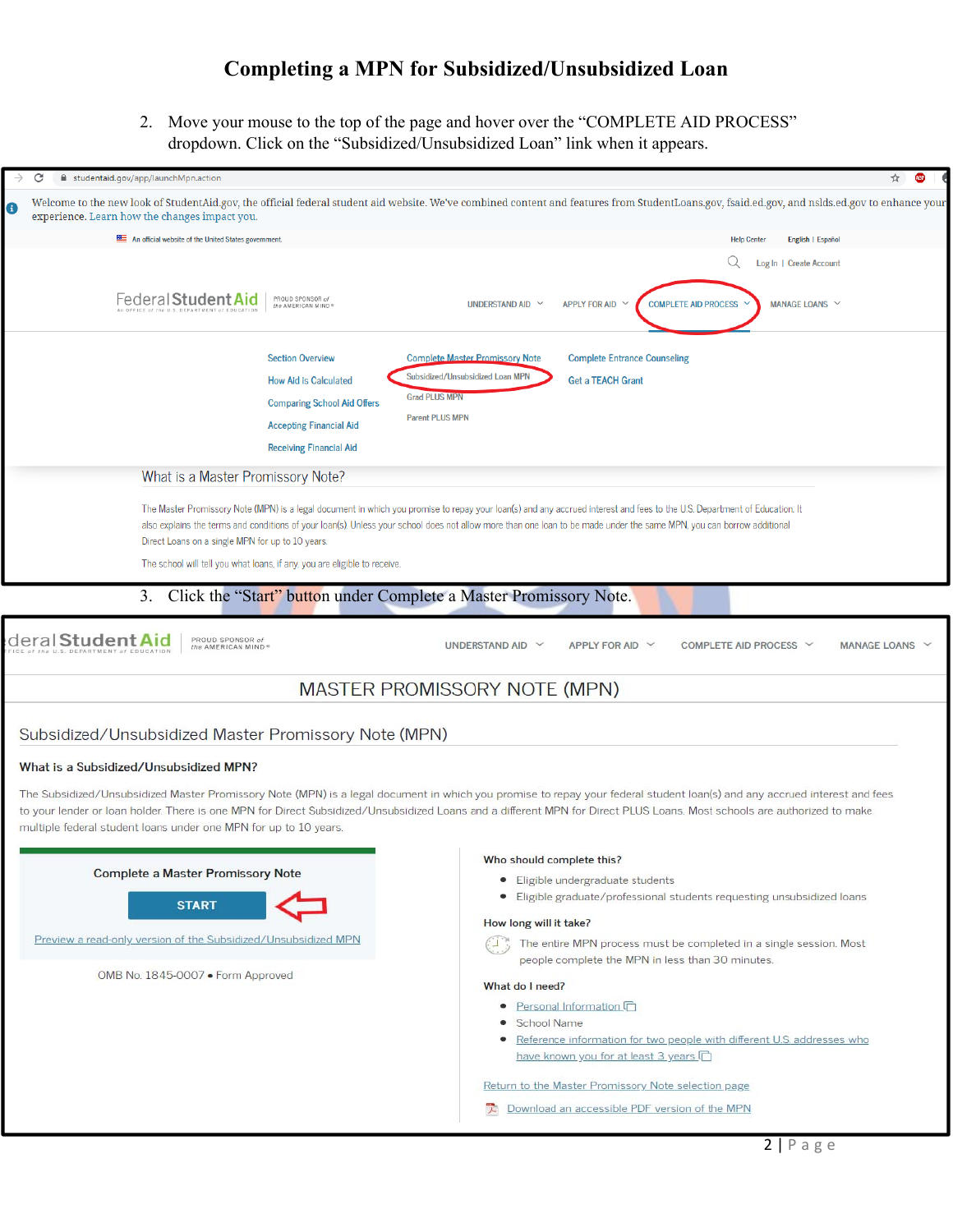2. Move your mouse to the top of the page and hover over the "COMPLETE AID PROCESS" dropdown. Click on the "Subsidized/Unsubsidized Loan" link when it appears.

| C<br>studentaid.gov/app/launchMpn.action<br>$\rightarrow$                 | ☆                                                                                                                                                                                                                                                                                                                                                    |
|---------------------------------------------------------------------------|------------------------------------------------------------------------------------------------------------------------------------------------------------------------------------------------------------------------------------------------------------------------------------------------------------------------------------------------------|
| $\bullet$<br>experience. Learn how the changes impact you.                | Welcome to the new look of StudentAid.gov, the official federal student aid website. We've combined content and features from StudentLoans.gov, fsaid.ed.gov, and nslds.ed.gov to enhance your                                                                                                                                                       |
| An official website of the United States government.                      | English   Español<br><b>Help Center</b>                                                                                                                                                                                                                                                                                                              |
|                                                                           | Log In   Create Account                                                                                                                                                                                                                                                                                                                              |
|                                                                           |                                                                                                                                                                                                                                                                                                                                                      |
| Federal Student Aid<br>PROUD SPONSOR of<br>the AMERICAN MIND              | <b>COMPLETE AID PROCESS</b><br>MANAGE LOANS V<br>UNDERSTAND AID V<br><b>APPLY FOR AID</b>                                                                                                                                                                                                                                                            |
|                                                                           |                                                                                                                                                                                                                                                                                                                                                      |
| <b>Section Overview</b>                                                   | <b>Complete Master Promissory Note</b><br><b>Complete Entrance Counseling</b>                                                                                                                                                                                                                                                                        |
| <b>How Aid is Calculated</b>                                              | Subsidized/Unsubsidized Loan MPN<br><b>Get a TEACH Grant</b>                                                                                                                                                                                                                                                                                         |
| <b>Comparing School Aid Offers</b>                                        | <b>Grad PLUS MPN</b>                                                                                                                                                                                                                                                                                                                                 |
| <b>Accepting Financial Aid</b>                                            | <b>Parent PLUS MPN</b>                                                                                                                                                                                                                                                                                                                               |
| <b>Receiving Financial Aid</b>                                            |                                                                                                                                                                                                                                                                                                                                                      |
| What is a Master Promissory Note?                                         |                                                                                                                                                                                                                                                                                                                                                      |
|                                                                           |                                                                                                                                                                                                                                                                                                                                                      |
|                                                                           | The Master Promissory Note (MPN) is a legal document in which you promise to repay your loan(s) and any accrued interest and fees to the U.S. Department of Education. It<br>also explains the terms and conditions of your loan(s). Unless your school does not allow more than one loan to be made under the same MPN, you can borrow additional   |
| Direct Loans on a single MPN for up to 10 years.                          |                                                                                                                                                                                                                                                                                                                                                      |
| The school will tell you what loans, if any, you are eligible to receive. |                                                                                                                                                                                                                                                                                                                                                      |
| 3. Click the "Start" button under Complete a Master Promissory Note.      |                                                                                                                                                                                                                                                                                                                                                      |
|                                                                           |                                                                                                                                                                                                                                                                                                                                                      |
| deral <b>Studen</b><br>PROUD SPONSOR of<br>the AMERICAN MIND <sup>®</sup> | UNDERSTAND AID V<br>APPLY FOR AID $\vee$<br>COMPLETE AID PROCESS V<br>MANAGE LOANS V                                                                                                                                                                                                                                                                 |
|                                                                           |                                                                                                                                                                                                                                                                                                                                                      |
|                                                                           | MASTER PROMISSORY NOTE (MPN)                                                                                                                                                                                                                                                                                                                         |
|                                                                           |                                                                                                                                                                                                                                                                                                                                                      |
| Subsidized/Unsubsidized Master Promissory Note (MPN)                      |                                                                                                                                                                                                                                                                                                                                                      |
| What is a Subsidized/Unsubsidized MPN?                                    |                                                                                                                                                                                                                                                                                                                                                      |
|                                                                           |                                                                                                                                                                                                                                                                                                                                                      |
|                                                                           | The Subsidized/Unsubsidized Master Promissory Note (MPN) is a legal document in which you promise to repay your federal student loan(s) and any accrued interest and fees<br>to your lender or loan holder. There is one MPN for Direct Subsidized/Unsubsidized Loans and a different MPN for Direct PLUS Loans. Most schools are authorized to make |
| multiple federal student loans under one MPN for up to 10 years.          |                                                                                                                                                                                                                                                                                                                                                      |
|                                                                           | Who should complete this?                                                                                                                                                                                                                                                                                                                            |
| <b>Complete a Master Promissory Note</b>                                  | • Eligible undergraduate students                                                                                                                                                                                                                                                                                                                    |
|                                                                           | Eligible graduate/professional students requesting unsubsidized loans<br>۰                                                                                                                                                                                                                                                                           |
| <b>START</b>                                                              | How long will it take?                                                                                                                                                                                                                                                                                                                               |
| Preview a read-only version of the Subsidized/Unsubsidized MPN            | The entire MPN process must be completed in a single session. Most<br>$\left(\begin{array}{cc} 1 \\ -1 \end{array}\right)$                                                                                                                                                                                                                           |
|                                                                           | people complete the MPN in less than 30 minutes.                                                                                                                                                                                                                                                                                                     |
| OMB No. 1845-0007 · Form Approved                                         | What do I need?                                                                                                                                                                                                                                                                                                                                      |
|                                                                           | • Personal Information                                                                                                                                                                                                                                                                                                                               |
|                                                                           | School Name                                                                                                                                                                                                                                                                                                                                          |
|                                                                           | Reference information for two people with different U.S. addresses who<br>٠<br>have known you for at least 3 years                                                                                                                                                                                                                                   |
|                                                                           |                                                                                                                                                                                                                                                                                                                                                      |
|                                                                           | Return to the Master Promissory Note selection page                                                                                                                                                                                                                                                                                                  |
|                                                                           | Download an accessible PDF version of the MPN                                                                                                                                                                                                                                                                                                        |
|                                                                           | $\sim$ 1 $\sim$                                                                                                                                                                                                                                                                                                                                      |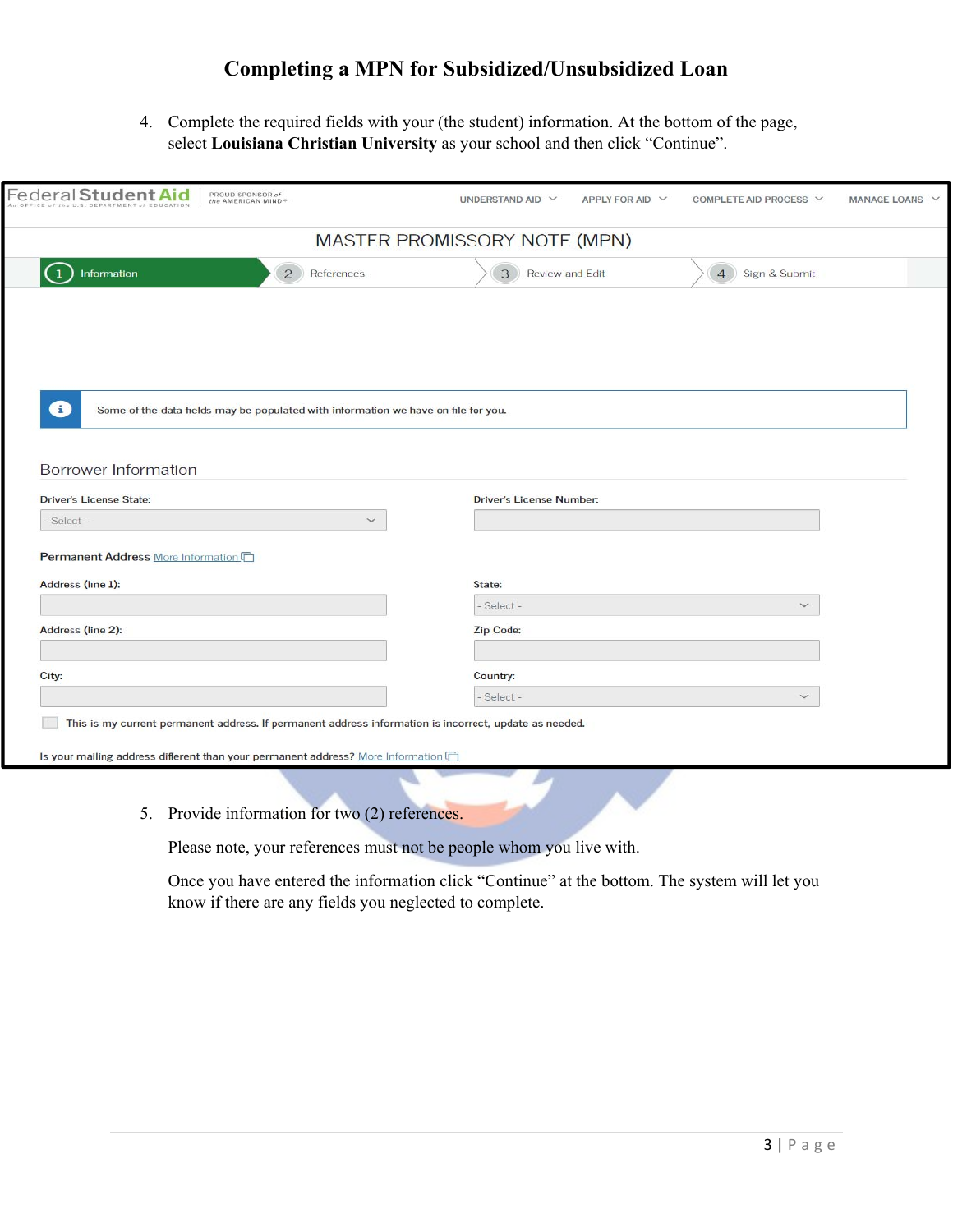4. Complete the required fields with your (the student) information. At the bottom of the page, select **Louisiana Christian University** as your school and then click "Continue".

| Federal Student<br>PROUD SPONSOR of<br>the AMERICAN MIND®                               | UNDERSTAND AID V<br>APPLY FOR AID $\vee$<br>COMPLETE AID PROCESS V<br><b>MANAGE LOANS</b> |
|-----------------------------------------------------------------------------------------|-------------------------------------------------------------------------------------------|
|                                                                                         | MASTER PROMISSORY NOTE (MPN)                                                              |
| Information<br>$\overline{2}$<br>References                                             | 3<br>Review and Edit<br>Sign & Submit<br>$\overline{4}$                                   |
|                                                                                         |                                                                                           |
|                                                                                         |                                                                                           |
|                                                                                         |                                                                                           |
|                                                                                         |                                                                                           |
|                                                                                         |                                                                                           |
| Ð<br>Some of the data fields may be populated with information we have on file for you. |                                                                                           |
|                                                                                         |                                                                                           |
| Borrower Information                                                                    |                                                                                           |
| <b>Driver's License State:</b>                                                          | <b>Driver's License Number:</b>                                                           |
| Select-<br>$\checkmark$                                                                 |                                                                                           |
|                                                                                         |                                                                                           |
| Permanent Address More Information                                                      |                                                                                           |
| Address (line 1):                                                                       | State:<br>$\checkmark$                                                                    |
|                                                                                         | - Select -                                                                                |
| Address (line 2):                                                                       | Zip Code:                                                                                 |
| City:                                                                                   | Country:                                                                                  |

Is your mailing address different than your permanent address? More Information

5. Provide information for two (2) references.

Please note, your references must not be people whom you live with.

Once you have entered the information click "Continue" at the bottom. The system will let you know if there are any fields you neglected to complete.